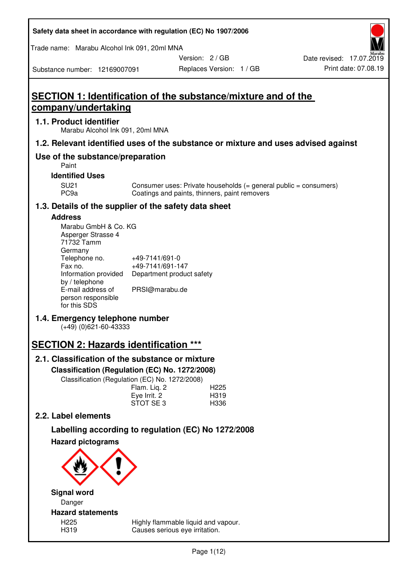| Safety data sheet in accordance with regulation (EC) No 1907/2006 |  |
|-------------------------------------------------------------------|--|
|-------------------------------------------------------------------|--|

Trade name: Marabu Alcohol Ink 091, 20ml MNA

Version: 2 / GB

Replaces Version: 1 / GB Print date: 07.08.19 Date revised: 17.07.2019

Substance number: 12169007091

**SECTION 1: Identification of the substance/mixture and of the company/undertaking** 

## **1.1. Product identifier**

Marabu Alcohol Ink 091, 20ml MNA

## **1.2. Relevant identified uses of the substance or mixture and uses advised against**

## **Use of the substance/preparation**

Paint

**Identified Uses** 

SU21 Consumer uses: Private households (= general public = consumers)<br>PC9a Coatings and paints, thinners, paint removers Coatings and paints, thinners, paint removers

## **1.3. Details of the supplier of the safety data sheet**

#### **Address**

| Marabu GmbH & Co. KG |                           |
|----------------------|---------------------------|
| Asperger Strasse 4   |                           |
| 71732 Tamm           |                           |
| Germany              |                           |
| Telephone no.        | +49-7141/691-0            |
| Fax no.              | +49-7141/691-147          |
| Information provided | Department product safety |
| by / telephone       |                           |
| E-mail address of    | PRSI@marabu.de            |
| person responsible   |                           |
| for this SDS         |                           |

## **1.4. Emergency telephone number**

(+49) (0)621-60-43333

## **SECTION 2: Hazards identification \*\*\***

## **2.1. Classification of the substance or mixture**

**Classification (Regulation (EC) No. 1272/2008)** 

Classification (Regulation (EC) No. 1272/2008)

|              | . |                  |
|--------------|---|------------------|
| Flam. Liq. 2 |   | H <sub>225</sub> |
| Eye Irrit. 2 |   | H319             |
| STOT SE3     |   | H336             |
|              |   |                  |

## **2.2. Label elements**

# **Labelling according to regulation (EC) No 1272/2008**



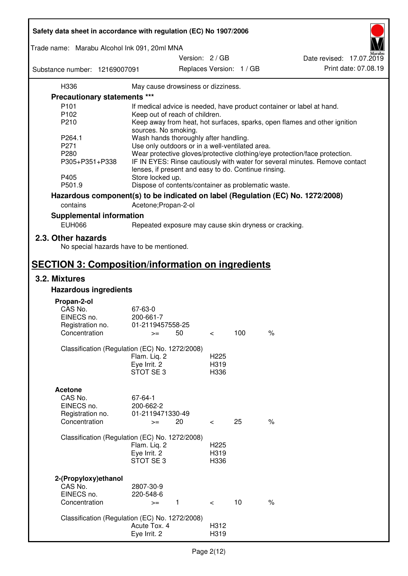| Safety data sheet in accordance with regulation (EC) No 1907/2006 |                                                       |                 |                          |                          |                                                                                 |
|-------------------------------------------------------------------|-------------------------------------------------------|-----------------|--------------------------|--------------------------|---------------------------------------------------------------------------------|
| Trade name: Marabu Alcohol Ink 091, 20ml MNA                      |                                                       |                 |                          |                          |                                                                                 |
|                                                                   |                                                       | Version: 2 / GB |                          |                          | Date revised: 17.07.2019                                                        |
| Substance number: 12169007091                                     |                                                       |                 |                          | Replaces Version: 1 / GB | Print date: 07.08.19                                                            |
| H336                                                              | May cause drowsiness or dizziness.                    |                 |                          |                          |                                                                                 |
| Precautionary statements ***                                      |                                                       |                 |                          |                          |                                                                                 |
| P <sub>101</sub>                                                  |                                                       |                 |                          |                          | If medical advice is needed, have product container or label at hand.           |
| P102                                                              | Keep out of reach of children.                        |                 |                          |                          |                                                                                 |
| P210                                                              |                                                       |                 |                          |                          | Keep away from heat, hot surfaces, sparks, open flames and other ignition       |
|                                                                   | sources. No smoking.                                  |                 |                          |                          |                                                                                 |
| P264.1                                                            | Wash hands thoroughly after handling.                 |                 |                          |                          |                                                                                 |
| P271                                                              | Use only outdoors or in a well-ventilated area.       |                 |                          |                          |                                                                                 |
| P280                                                              |                                                       |                 |                          |                          | Wear protective gloves/protective clothing/eye protection/face protection.      |
| P305+P351+P338                                                    | lenses, if present and easy to do. Continue rinsing.  |                 |                          |                          | IF IN EYES: Rinse cautiously with water for several minutes. Remove contact     |
| P405                                                              | Store locked up.                                      |                 |                          |                          |                                                                                 |
| P501.9                                                            | Dispose of contents/container as problematic waste.   |                 |                          |                          |                                                                                 |
|                                                                   |                                                       |                 |                          |                          | Hazardous component(s) to be indicated on label (Regulation (EC) No. 1272/2008) |
| contains                                                          | Acetone; Propan-2-ol                                  |                 |                          |                          |                                                                                 |
| <b>Supplemental information</b>                                   |                                                       |                 |                          |                          |                                                                                 |
| <b>EUH066</b>                                                     | Repeated exposure may cause skin dryness or cracking. |                 |                          |                          |                                                                                 |
| 2.3. Other hazards<br>No special hazards have to be mentioned.    |                                                       |                 |                          |                          |                                                                                 |
| <b>SECTION 3: Composition/information on ingredients</b>          |                                                       |                 |                          |                          |                                                                                 |
| 3.2. Mixtures                                                     |                                                       |                 |                          |                          |                                                                                 |
| <b>Hazardous ingredients</b>                                      |                                                       |                 |                          |                          |                                                                                 |
|                                                                   |                                                       |                 |                          |                          |                                                                                 |
| Propan-2-ol<br>CAS No.                                            | 67-63-0                                               |                 |                          |                          |                                                                                 |
| EINECS no.                                                        | 200-661-7                                             |                 |                          |                          |                                                                                 |
| Registration no.                                                  | 01-2119457558-25                                      |                 |                          |                          |                                                                                 |
| Concentration                                                     | 50<br>$>=$                                            |                 | $\,<\,$                  | 100                      | $\%$                                                                            |
|                                                                   |                                                       |                 |                          |                          |                                                                                 |
| Classification (Regulation (EC) No. 1272/2008)                    |                                                       |                 |                          |                          |                                                                                 |
|                                                                   | Flam. Liq. 2                                          |                 | H <sub>225</sub>         |                          |                                                                                 |
|                                                                   | Eye Irrit. 2                                          |                 | H319                     |                          |                                                                                 |
|                                                                   | STOT SE3                                              |                 | H336                     |                          |                                                                                 |
|                                                                   |                                                       |                 |                          |                          |                                                                                 |
| <b>Acetone</b>                                                    |                                                       |                 |                          |                          |                                                                                 |
| CAS No.<br>EINECS no.                                             | 67-64-1<br>200-662-2                                  |                 |                          |                          |                                                                                 |
|                                                                   | 01-2119471330-49                                      |                 |                          |                          |                                                                                 |
| Registration no.<br>Concentration                                 | 20<br>$>=$                                            |                 | $\overline{\phantom{0}}$ | 25                       | $\%$                                                                            |
|                                                                   |                                                       |                 |                          |                          |                                                                                 |
| Classification (Regulation (EC) No. 1272/2008)                    |                                                       |                 |                          |                          |                                                                                 |
|                                                                   | Flam. Liq. 2                                          |                 | H <sub>225</sub>         |                          |                                                                                 |
|                                                                   | Eye Irrit. 2                                          |                 | H319                     |                          |                                                                                 |
|                                                                   | STOT SE3                                              |                 | H336                     |                          |                                                                                 |
|                                                                   |                                                       |                 |                          |                          |                                                                                 |
| 2-(Propyloxy) ethanol                                             |                                                       |                 |                          |                          |                                                                                 |
| CAS No.                                                           | 2807-30-9                                             |                 |                          |                          |                                                                                 |
| EINECS no.                                                        | 220-548-6                                             |                 |                          |                          |                                                                                 |
| Concentration                                                     | $\mathbf{1}$<br>$>=$                                  |                 | $\prec$                  | 10                       | $\%$                                                                            |
| Classification (Regulation (EC) No. 1272/2008)                    |                                                       |                 |                          |                          |                                                                                 |
|                                                                   | Acute Tox. 4                                          |                 | H312                     |                          |                                                                                 |
|                                                                   | Eye Irrit. 2                                          |                 | H319                     |                          |                                                                                 |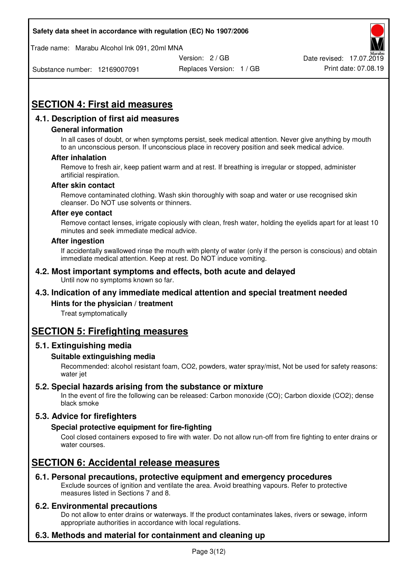Trade name: Marabu Alcohol Ink 091, 20ml MNA



Substance number: 12169007091

Replaces Version: 1 / GB Print date: 07.08.19

# **SECTION 4: First aid measures**

## **4.1. Description of first aid measures**

#### **General information**

In all cases of doubt, or when symptoms persist, seek medical attention. Never give anything by mouth to an unconscious person. If unconscious place in recovery position and seek medical advice.

#### **After inhalation**

Remove to fresh air, keep patient warm and at rest. If breathing is irregular or stopped, administer artificial respiration.

#### **After skin contact**

Remove contaminated clothing. Wash skin thoroughly with soap and water or use recognised skin cleanser. Do NOT use solvents or thinners.

#### **After eye contact**

Remove contact lenses, irrigate copiously with clean, fresh water, holding the eyelids apart for at least 10 minutes and seek immediate medical advice.

#### **After ingestion**

If accidentally swallowed rinse the mouth with plenty of water (only if the person is conscious) and obtain immediate medical attention. Keep at rest. Do NOT induce vomiting.

#### **4.2. Most important symptoms and effects, both acute and delayed**  Until now no symptoms known so far.

## **4.3. Indication of any immediate medical attention and special treatment needed**

#### **Hints for the physician / treatment**

Treat symptomatically

## **SECTION 5: Firefighting measures**

#### **5.1. Extinguishing media**

#### **Suitable extinguishing media**

Recommended: alcohol resistant foam, CO2, powders, water spray/mist, Not be used for safety reasons: water jet

#### **5.2. Special hazards arising from the substance or mixture**

In the event of fire the following can be released: Carbon monoxide (CO); Carbon dioxide (CO2); dense black smoke

## **5.3. Advice for firefighters**

#### **Special protective equipment for fire-fighting**

Cool closed containers exposed to fire with water. Do not allow run-off from fire fighting to enter drains or water courses.

## **SECTION 6: Accidental release measures**

#### **6.1. Personal precautions, protective equipment and emergency procedures**

Exclude sources of ignition and ventilate the area. Avoid breathing vapours. Refer to protective measures listed in Sections 7 and 8.

#### **6.2. Environmental precautions**

Do not allow to enter drains or waterways. If the product contaminates lakes, rivers or sewage, inform appropriate authorities in accordance with local regulations.

## **6.3. Methods and material for containment and cleaning up**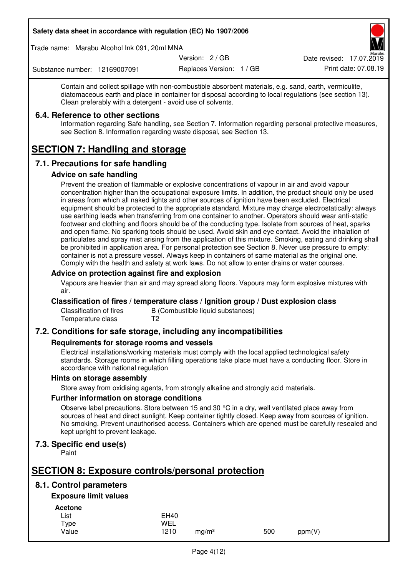Trade name: Marabu Alcohol Ink 091, 20ml MNA

Version: 2 / GB

Replaces Version: 1 / GB Print date: 07.08.19 Date revised: 17.07.2019

Substance number: 12169007091

Contain and collect spillage with non-combustible absorbent materials, e.g. sand, earth, vermiculite, diatomaceous earth and place in container for disposal according to local regulations (see section 13). Clean preferably with a detergent - avoid use of solvents.

## **6.4. Reference to other sections**

Information regarding Safe handling, see Section 7. Information regarding personal protective measures, see Section 8. Information regarding waste disposal, see Section 13.

# **SECTION 7: Handling and storage**

## **7.1. Precautions for safe handling**

#### **Advice on safe handling**

Prevent the creation of flammable or explosive concentrations of vapour in air and avoid vapour concentration higher than the occupational exposure limits. In addition, the product should only be used in areas from which all naked lights and other sources of ignition have been excluded. Electrical equipment should be protected to the appropriate standard. Mixture may charge electrostatically: always use earthing leads when transferring from one container to another. Operators should wear anti-static footwear and clothing and floors should be of the conducting type. Isolate from sources of heat, sparks and open flame. No sparking tools should be used. Avoid skin and eye contact. Avoid the inhalation of particulates and spray mist arising from the application of this mixture. Smoking, eating and drinking shall be prohibited in application area. For personal protection see Section 8. Never use pressure to empty: container is not a pressure vessel. Always keep in containers of same material as the original one. Comply with the health and safety at work laws. Do not allow to enter drains or water courses.

## **Advice on protection against fire and explosion**

Vapours are heavier than air and may spread along floors. Vapours may form explosive mixtures with air.

#### **Classification of fires / temperature class / Ignition group / Dust explosion class**

Classification of fires B (Combustible liquid substances)<br>Temperature class T2 Temperature class

## **7.2. Conditions for safe storage, including any incompatibilities**

#### **Requirements for storage rooms and vessels**

Electrical installations/working materials must comply with the local applied technological safety standards. Storage rooms in which filling operations take place must have a conducting floor. Store in accordance with national regulation

#### **Hints on storage assembly**

Store away from oxidising agents, from strongly alkaline and strongly acid materials.

#### **Further information on storage conditions**

Observe label precautions. Store between 15 and 30 °C in a dry, well ventilated place away from sources of heat and direct sunlight. Keep container tightly closed. Keep away from sources of ignition. No smoking. Prevent unauthorised access. Containers which are opened must be carefully resealed and kept upright to prevent leakage.

## **7.3. Specific end use(s)**

Paint

## **SECTION 8: Exposure controls/personal protection**

## **8.1. Control parameters**

## **Exposure limit values**

**Acetone** 

| List  | <b>EH40</b> |                   |     |        |
|-------|-------------|-------------------|-----|--------|
| Type  | WEL         |                   |     |        |
| Value | 1210        | mg/m <sup>3</sup> | 500 | ppm(V) |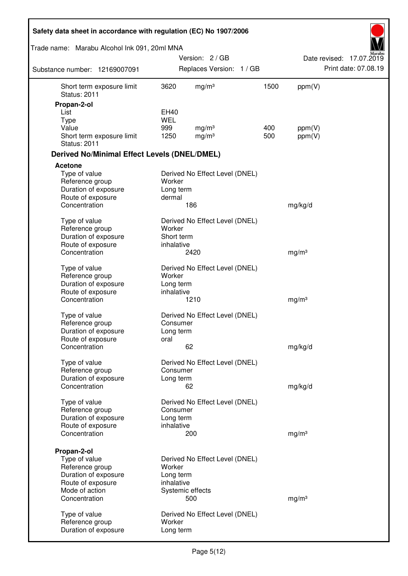| Safety data sheet in accordance with regulation (EC) No 1907/2006             |                                     |                                        |            |                   |                          |
|-------------------------------------------------------------------------------|-------------------------------------|----------------------------------------|------------|-------------------|--------------------------|
| Trade name: Marabu Alcohol Ink 091, 20ml MNA                                  |                                     |                                        |            |                   |                          |
|                                                                               |                                     | Version: 2/GB                          |            |                   | Date revised: 17.07.2019 |
| Substance number: 12169007091                                                 |                                     | Replaces Version: 1 / GB               |            |                   | Print date: 07.08.19     |
| Short term exposure limit<br><b>Status: 2011</b>                              | 3620                                | mg/m <sup>3</sup>                      | 1500       | ppm(V)            |                          |
| Propan-2-ol                                                                   |                                     |                                        |            |                   |                          |
| List                                                                          | EH40                                |                                        |            |                   |                          |
| <b>Type</b>                                                                   | <b>WEL</b>                          |                                        |            |                   |                          |
| Value<br>Short term exposure limit<br><b>Status: 2011</b>                     | 999<br>1250                         | mg/m <sup>3</sup><br>mg/m <sup>3</sup> | 400<br>500 | ppm(V)<br>ppm(V)  |                          |
| <b>Derived No/Minimal Effect Levels (DNEL/DMEL)</b>                           |                                     |                                        |            |                   |                          |
| Acetone                                                                       |                                     |                                        |            |                   |                          |
| Type of value<br>Reference group<br>Duration of exposure                      | Worker<br>Long term                 | Derived No Effect Level (DNEL)         |            |                   |                          |
| Route of exposure<br>Concentration                                            | dermal                              | 186                                    |            | mg/kg/d           |                          |
| Type of value<br>Reference group<br>Duration of exposure                      | Worker<br>Short term                | Derived No Effect Level (DNEL)         |            |                   |                          |
| Route of exposure<br>Concentration                                            | inhalative                          | 2420                                   |            | mg/m <sup>3</sup> |                          |
| Type of value<br>Reference group<br>Duration of exposure<br>Route of exposure | Worker<br>Long term<br>inhalative   | Derived No Effect Level (DNEL)         |            |                   |                          |
| Concentration                                                                 |                                     | 1210                                   |            | mg/m <sup>3</sup> |                          |
| Type of value<br>Reference group<br>Duration of exposure<br>Route of exposure | Consumer<br>Long term<br>oral       | Derived No Effect Level (DNEL)         |            |                   |                          |
| Concentration                                                                 |                                     | 62                                     |            | mg/kg/d           |                          |
| Type of value<br>Reference group<br>Duration of exposure                      | Consumer<br>Long term               | Derived No Effect Level (DNEL)         |            |                   |                          |
| Concentration                                                                 |                                     | 62                                     |            | mg/kg/d           |                          |
| Type of value<br>Reference group<br>Duration of exposure<br>Route of exposure | Consumer<br>Long term<br>inhalative | Derived No Effect Level (DNEL)         |            |                   |                          |
| Concentration                                                                 |                                     | 200                                    |            | mg/m <sup>3</sup> |                          |
| Propan-2-ol<br>Type of value<br>Reference group<br>Duration of exposure       | Worker<br>Long term                 | Derived No Effect Level (DNEL)         |            |                   |                          |
| Route of exposure                                                             | inhalative                          |                                        |            |                   |                          |
| Mode of action<br>Concentration                                               |                                     | Systemic effects<br>500                |            | mg/m <sup>3</sup> |                          |
| Type of value<br>Reference group<br>Duration of exposure                      | Worker<br>Long term                 | Derived No Effect Level (DNEL)         |            |                   |                          |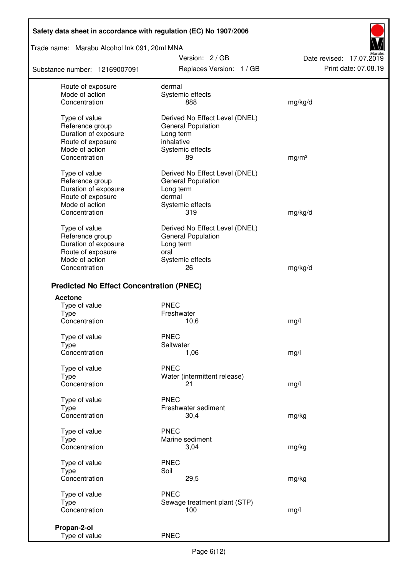Trade name: Marabu Alcohol Ink 091, 20ml MNA

Substance number: 12169007091

Version: 2 / GB Replaces Version: 1 / GB Print date: 07.08.19

Date revised: 17.07.2019

| Route of exposure                               | dermal                         |                   |
|-------------------------------------------------|--------------------------------|-------------------|
| Mode of action                                  | Systemic effects               |                   |
| Concentration                                   | 888                            | mg/kg/d           |
|                                                 |                                |                   |
| Type of value                                   | Derived No Effect Level (DNEL) |                   |
| Reference group                                 | <b>General Population</b>      |                   |
| Duration of exposure                            | Long term                      |                   |
|                                                 |                                |                   |
| Route of exposure                               | inhalative                     |                   |
| Mode of action                                  | Systemic effects               |                   |
| Concentration                                   | 89                             | mg/m <sup>3</sup> |
| Type of value                                   | Derived No Effect Level (DNEL) |                   |
| Reference group                                 |                                |                   |
|                                                 | General Population             |                   |
| Duration of exposure                            | Long term                      |                   |
| Route of exposure                               | dermal                         |                   |
| Mode of action                                  | Systemic effects               |                   |
| Concentration                                   | 319                            | mg/kg/d           |
|                                                 |                                |                   |
| Type of value                                   | Derived No Effect Level (DNEL) |                   |
| Reference group                                 | <b>General Population</b>      |                   |
| Duration of exposure                            | Long term                      |                   |
| Route of exposure                               | oral                           |                   |
| Mode of action                                  | Systemic effects               |                   |
| Concentration                                   | 26                             | mg/kg/d           |
|                                                 |                                |                   |
| <b>Predicted No Effect Concentration (PNEC)</b> |                                |                   |
| <b>Acetone</b>                                  |                                |                   |
| Type of value                                   | <b>PNEC</b>                    |                   |
| <b>Type</b>                                     | Freshwater                     |                   |
| Concentration                                   |                                |                   |
|                                                 | 10,6                           | mg/l              |
| Type of value                                   | <b>PNEC</b>                    |                   |
| <b>Type</b>                                     | Saltwater                      |                   |
| Concentration                                   | 1,06                           | mg/l              |
|                                                 |                                |                   |
| Type of value                                   | <b>PNEC</b>                    |                   |
| <b>Type</b>                                     | Water (intermittent release)   |                   |
| Concentration                                   | 21                             | mg/l              |
|                                                 |                                |                   |
| Type of value                                   | <b>PNEC</b>                    |                   |
| <b>Type</b>                                     | Freshwater sediment            |                   |
| Concentration                                   | 30,4                           | mg/kg             |
|                                                 |                                |                   |
| Type of value                                   | <b>PNEC</b>                    |                   |
| <b>Type</b>                                     | Marine sediment                |                   |
| Concentration                                   | 3,04                           | mg/kg             |
|                                                 | <b>PNEC</b>                    |                   |
| Type of value                                   |                                |                   |
| <b>Type</b>                                     | Soil                           |                   |
| Concentration                                   | 29,5                           | mg/kg             |
| Type of value                                   | <b>PNEC</b>                    |                   |
|                                                 | Sewage treatment plant (STP)   |                   |
| Type                                            |                                |                   |
| Concentration                                   | 100                            | mg/l              |
| Propan-2-ol                                     |                                |                   |
| Type of value                                   | <b>PNEC</b>                    |                   |
|                                                 |                                |                   |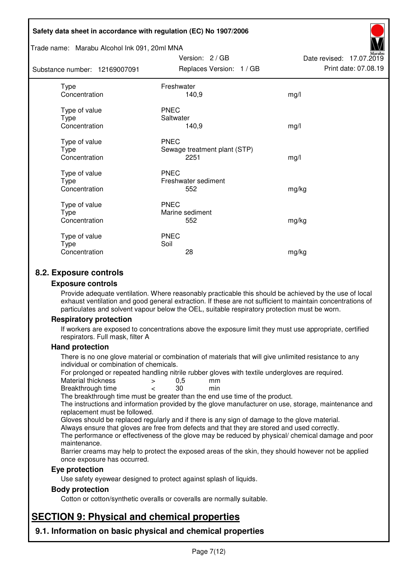#### Trade name: Marabu Alcohol Ink 091, 20ml MNA

| Substance number: 12169007091          | Replaces Version: 1 / GB                            | Print date: 07.08.19 |
|----------------------------------------|-----------------------------------------------------|----------------------|
| Type<br>Concentration                  | Freshwater<br>140,9                                 | mg/l                 |
| Type of value<br>Type<br>Concentration | <b>PNEC</b><br>Saltwater<br>140,9                   | mg/l                 |
| Type of value<br>Type<br>Concentration | <b>PNEC</b><br>Sewage treatment plant (STP)<br>2251 | mg/l                 |
| Type of value<br>Type<br>Concentration | <b>PNEC</b><br>Freshwater sediment<br>552           | mg/kg                |
| Type of value<br>Type<br>Concentration | <b>PNEC</b><br>Marine sediment<br>552               | mg/kg                |
| Type of value<br>Type<br>Concentration | <b>PNEC</b><br>Soil<br>28                           | mg/kg                |

Version: 2 / GB

Date revised: 17.07.2019

## **8.2. Exposure controls**

#### **Exposure controls**

Provide adequate ventilation. Where reasonably practicable this should be achieved by the use of local exhaust ventilation and good general extraction. If these are not sufficient to maintain concentrations of particulates and solvent vapour below the OEL, suitable respiratory protection must be worn.

#### **Respiratory protection**

If workers are exposed to concentrations above the exposure limit they must use appropriate, certified respirators. Full mask, filter A

#### **Hand protection**

There is no one glove material or combination of materials that will give unlimited resistance to any individual or combination of chemicals.

For prolonged or repeated handling nitrile rubber gloves with textile undergloves are required.<br>Material thickness  $\geq 0.5$  mm

- Material thickness  $\begin{array}{ccc} 0.5 \\ -8.5 \end{array}$  Material thickness  $\begin{array}{ccc} 0.5 \\ -8.5 \end{array}$
- Breakthrough time < 30 min

The breakthrough time must be greater than the end use time of the product.

The instructions and information provided by the glove manufacturer on use, storage, maintenance and replacement must be followed.

Gloves should be replaced regularly and if there is any sign of damage to the glove material.

Always ensure that gloves are free from defects and that they are stored and used correctly.

The performance or effectiveness of the glove may be reduced by physical/ chemical damage and poor maintenance.

Barrier creams may help to protect the exposed areas of the skin, they should however not be applied once exposure has occurred.

#### **Eye protection**

Use safety eyewear designed to protect against splash of liquids.

#### **Body protection**

Cotton or cotton/synthetic overalls or coveralls are normally suitable.

## **SECTION 9: Physical and chemical properties**

**9.1. Information on basic physical and chemical properties**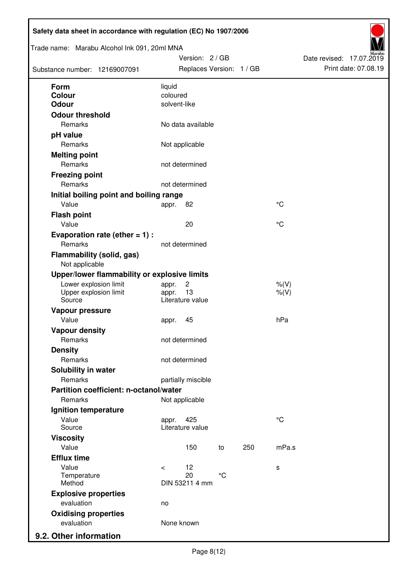| Trade name: Marabu Alcohol Ink 091, 20ml MNA       |            | Version: 2/GB            |              |     |             | Date revised: 17.07.2019 | Print date: 07.08.19 |
|----------------------------------------------------|------------|--------------------------|--------------|-----|-------------|--------------------------|----------------------|
| Substance number: 12169007091                      |            | Replaces Version: 1 / GB |              |     |             |                          |                      |
| Form                                               | liquid     |                          |              |     |             |                          |                      |
| <b>Colour</b>                                      | coloured   |                          |              |     |             |                          |                      |
| <b>Odour</b>                                       |            | solvent-like             |              |     |             |                          |                      |
| <b>Odour threshold</b>                             |            |                          |              |     |             |                          |                      |
| Remarks                                            |            | No data available        |              |     |             |                          |                      |
| pH value                                           |            |                          |              |     |             |                          |                      |
| Remarks                                            |            | Not applicable           |              |     |             |                          |                      |
| <b>Melting point</b>                               |            |                          |              |     |             |                          |                      |
| Remarks                                            |            | not determined           |              |     |             |                          |                      |
| <b>Freezing point</b>                              |            |                          |              |     |             |                          |                      |
| Remarks                                            |            | not determined           |              |     |             |                          |                      |
| Initial boiling point and boiling range            |            |                          |              |     |             |                          |                      |
| Value                                              | appr.      | 82                       |              |     | $^{\circ}C$ |                          |                      |
| <b>Flash point</b>                                 |            |                          |              |     |             |                          |                      |
| Value                                              |            | 20                       |              |     | $^{\circ}C$ |                          |                      |
| Evaporation rate (ether $= 1$ ) :                  |            |                          |              |     |             |                          |                      |
| Remarks                                            |            | not determined           |              |     |             |                          |                      |
| <b>Flammability (solid, gas)</b><br>Not applicable |            |                          |              |     |             |                          |                      |
| Upper/lower flammability or explosive limits       |            |                          |              |     |             |                          |                      |
| Lower explosion limit                              | appr.      | $\overline{c}$           |              |     | $%$ (V)     |                          |                      |
| Upper explosion limit                              | appr.      | 13                       |              |     | $%$ (V)     |                          |                      |
| Source                                             |            | Literature value         |              |     |             |                          |                      |
| Vapour pressure                                    |            |                          |              |     |             |                          |                      |
| Value                                              | appr.      | 45                       |              |     | hPa         |                          |                      |
| <b>Vapour density</b>                              |            |                          |              |     |             |                          |                      |
| Remarks                                            |            | not determined           |              |     |             |                          |                      |
| <b>Density</b>                                     |            |                          |              |     |             |                          |                      |
| Remarks                                            |            | not determined           |              |     |             |                          |                      |
| Solubility in water                                |            |                          |              |     |             |                          |                      |
| Remarks                                            |            | partially miscible       |              |     |             |                          |                      |
| Partition coefficient: n-octanol/water             |            |                          |              |     |             |                          |                      |
| Remarks                                            |            | Not applicable           |              |     |             |                          |                      |
| Ignition temperature                               |            |                          |              |     |             |                          |                      |
| Value<br>Source                                    | appr.      | 425<br>Literature value  |              |     | $^{\circ}C$ |                          |                      |
| <b>Viscosity</b>                                   |            |                          |              |     |             |                          |                      |
| Value                                              |            | 150                      | to           | 250 | mPa.s       |                          |                      |
| <b>Efflux time</b>                                 |            |                          |              |     |             |                          |                      |
| Value                                              | $\,<\,$    | 12                       |              |     | s           |                          |                      |
| Temperature                                        |            | 20                       | $^{\circ}$ C |     |             |                          |                      |
| Method                                             |            | DIN 53211 4 mm           |              |     |             |                          |                      |
| <b>Explosive properties</b>                        |            |                          |              |     |             |                          |                      |
| evaluation                                         | no         |                          |              |     |             |                          |                      |
| <b>Oxidising properties</b><br>evaluation          | None known |                          |              |     |             |                          |                      |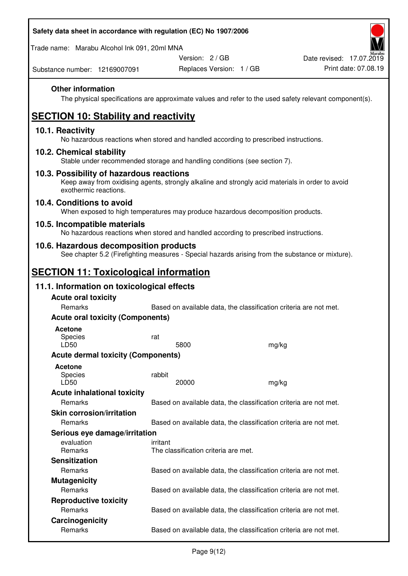| Safety data sheet in accordance with regulation (EC) No 1907/2006 |  |
|-------------------------------------------------------------------|--|
|                                                                   |  |

Trade name: Marabu Alcohol Ink 091, 20ml MNA

Version: 2 / GB

Substance number: 12169007091

## **Other information**

The physical specifications are approximate values and refer to the used safety relevant component(s).

# **SECTION 10: Stability and reactivity**

## **10.1. Reactivity**

No hazardous reactions when stored and handled according to prescribed instructions.

## **10.2. Chemical stability**

Stable under recommended storage and handling conditions (see section 7).

## **10.3. Possibility of hazardous reactions**

Keep away from oxidising agents, strongly alkaline and strongly acid materials in order to avoid exothermic reactions.

#### **10.4. Conditions to avoid**

When exposed to high temperatures may produce hazardous decomposition products.

## **10.5. Incompatible materials**

No hazardous reactions when stored and handled according to prescribed instructions.

## **10.6. Hazardous decomposition products**

See chapter 5.2 (Firefighting measures - Special hazards arising from the substance or mixture).

## **SECTION 11: Toxicological information**

## **11.1. Information on toxicological effects**

| <b>Acute oral toxicity</b>                |                                                                   |       |
|-------------------------------------------|-------------------------------------------------------------------|-------|
| Remarks                                   | Based on available data, the classification criteria are not met. |       |
| <b>Acute oral toxicity (Components)</b>   |                                                                   |       |
| <b>Acetone</b>                            |                                                                   |       |
| <b>Species</b>                            | rat                                                               |       |
| LD50                                      | 5800                                                              | mg/kg |
| <b>Acute dermal toxicity (Components)</b> |                                                                   |       |
| Acetone                                   |                                                                   |       |
| Species                                   | rabbit                                                            |       |
| LD50                                      | 20000                                                             | mg/kg |
| <b>Acute inhalational toxicity</b>        |                                                                   |       |
| Remarks                                   | Based on available data, the classification criteria are not met. |       |
| <b>Skin corrosion/irritation</b>          |                                                                   |       |
| Remarks                                   | Based on available data, the classification criteria are not met. |       |
| Serious eye damage/irritation             |                                                                   |       |
| evaluation                                | irritant                                                          |       |
| <b>Remarks</b>                            | The classification criteria are met.                              |       |
| <b>Sensitization</b>                      |                                                                   |       |
| <b>Remarks</b>                            | Based on available data, the classification criteria are not met. |       |
| <b>Mutagenicity</b>                       |                                                                   |       |
| Remarks                                   | Based on available data, the classification criteria are not met. |       |
| <b>Reproductive toxicity</b>              |                                                                   |       |
| Remarks                                   | Based on available data, the classification criteria are not met. |       |
| Carcinogenicity                           |                                                                   |       |
| Remarks                                   | Based on available data, the classification criteria are not met. |       |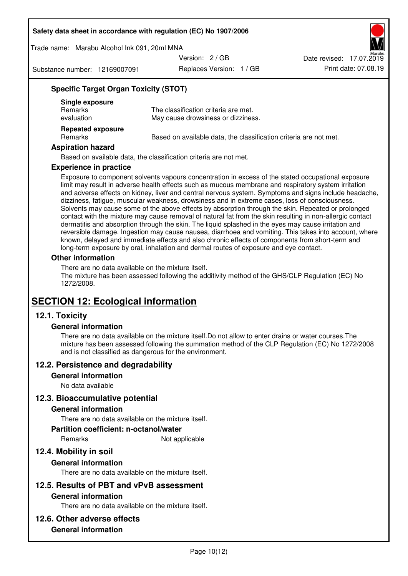Trade name: Marabu Alcohol Ink 091, 20ml MNA

Version: 2 / GB

Substance number: 12169007091

Replaces Version: 1 / GB Print date: 07.08.19 Date revised: 17.07.2019

## **Specific Target Organ Toxicity (STOT)**

| Single exposure<br><b>Remarks</b><br>evaluation | The classification criteria are met.<br>May cause drowsiness or dizziness. |
|-------------------------------------------------|----------------------------------------------------------------------------|
| <b>Repeated exposure</b><br>Remarks             | Based on available data, the classification criteria are not met.          |

#### **Aspiration hazard**

Based on available data, the classification criteria are not met.

#### **Experience in practice**

Exposure to component solvents vapours concentration in excess of the stated occupational exposure limit may result in adverse health effects such as mucous membrane and respiratory system irritation and adverse effects on kidney, liver and central nervous system. Symptoms and signs include headache, dizziness, fatigue, muscular weakness, drowsiness and in extreme cases, loss of consciousness. Solvents may cause some of the above effects by absorption through the skin. Repeated or prolonged contact with the mixture may cause removal of natural fat from the skin resulting in non-allergic contact dermatitis and absorption through the skin. The liquid splashed in the eyes may cause irritation and reversible damage. Ingestion may cause nausea, diarrhoea and vomiting. This takes into account, where known, delayed and immediate effects and also chronic effects of components from short-term and long-term exposure by oral, inhalation and dermal routes of exposure and eye contact.

#### **Other information**

There are no data available on the mixture itself. The mixture has been assessed following the additivity method of the GHS/CLP Regulation (EC) No 1272/2008.

## **SECTION 12: Ecological information**

## **12.1. Toxicity**

#### **General information**

There are no data available on the mixture itself.Do not allow to enter drains or water courses.The mixture has been assessed following the summation method of the CLP Regulation (EC) No 1272/2008 and is not classified as dangerous for the environment.

## **12.2. Persistence and degradability**

#### **General information**

No data available

#### **12.3. Bioaccumulative potential**

#### **General information**

There are no data available on the mixture itself.

#### **Partition coefficient: n-octanol/water**

Remarks Not applicable

## **12.4. Mobility in soil**

#### **General information**

There are no data available on the mixture itself.

## **12.5. Results of PBT and vPvB assessment**

#### **General information**

There are no data available on the mixture itself.

#### **12.6. Other adverse effects**

## **General information**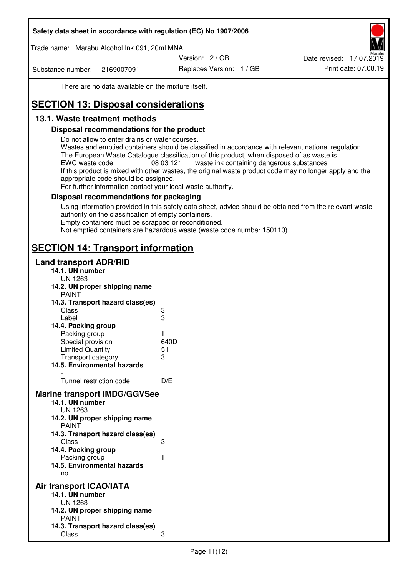Trade name: Marabu Alcohol Ink 091, 20ml MNA

Version: 2 / GB

Substance number: 12169007091

Replaces Version: 1 / GB Print date: 07.08.19 Date revised: 17.07.2019

There are no data available on the mixture itself.

# **SECTION 13: Disposal considerations**

## **13.1. Waste treatment methods**

## **Disposal recommendations for the product**

Do not allow to enter drains or water courses.

Wastes and emptied containers should be classified in accordance with relevant national regulation. The European Waste Catalogue classification of this product, when disposed of as waste is EWC waste code  $08\,03\,12^*$  waste ink containing dangerous substances If this product is mixed with other wastes, the original waste product code may no longer apply and the appropriate code should be assigned.

For further information contact your local waste authority.

## **Disposal recommendations for packaging**

Using information provided in this safety data sheet, advice should be obtained from the relevant waste authority on the classification of empty containers. Empty containers must be scrapped or reconditioned.

Not emptied containers are hazardous waste (waste code number 150110).

## **SECTION 14: Transport information**

## **Land transport ADR/RID**

| 14.1. UN number                                                                                                                                                                                                                              |              |
|----------------------------------------------------------------------------------------------------------------------------------------------------------------------------------------------------------------------------------------------|--------------|
| UN 1263<br>14.2. UN proper shipping name                                                                                                                                                                                                     |              |
| <b>PAINT</b>                                                                                                                                                                                                                                 |              |
| 14.3. Transport hazard class(es)                                                                                                                                                                                                             |              |
| Class                                                                                                                                                                                                                                        | 3<br>3       |
| Label                                                                                                                                                                                                                                        |              |
| 14.4. Packing group                                                                                                                                                                                                                          |              |
| Packing group                                                                                                                                                                                                                                | $\mathbf{I}$ |
| Special provision                                                                                                                                                                                                                            | 640D         |
| <b>Limited Quantity</b>                                                                                                                                                                                                                      | 51           |
| Transport category                                                                                                                                                                                                                           | 3            |
| 14.5. Environmental hazards                                                                                                                                                                                                                  |              |
|                                                                                                                                                                                                                                              |              |
| Tunnel restriction code                                                                                                                                                                                                                      | D/E          |
| <b>Marine transport IMDG/GGVSee</b><br>14.1. UN number<br>UN 1263<br>14.2. UN proper shipping name<br><b>PAINT</b><br>14.3. Transport hazard class(es)<br>Class<br>14.4. Packing group<br>Packing group<br>14.5. Environmental hazards<br>no | 3<br>Ш       |
| Air transport ICAO/IATA                                                                                                                                                                                                                      |              |
| 14.1. UN number                                                                                                                                                                                                                              |              |
| <b>UN 1263</b>                                                                                                                                                                                                                               |              |
| 14.2. UN proper shipping name<br><b>PAINT</b>                                                                                                                                                                                                |              |
| 14.3. Transport hazard class(es)                                                                                                                                                                                                             |              |
| Class                                                                                                                                                                                                                                        | 3            |